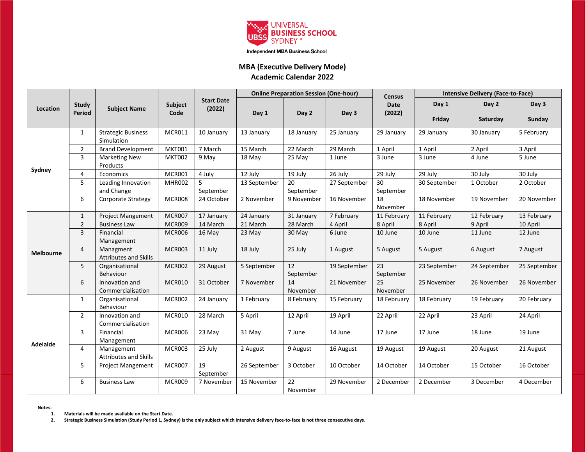

Independent MBA Business School

#### **MBA (Executive Delivery Mode) Academic Calendar 2022**

| Location         | <b>Study</b><br><b>Period</b> | <b>Subject Name</b>                        | Subject<br>Code | <b>Start Date</b><br>(2022) | <b>Online Preparation Session (One-hour)</b> |                 |              | <b>Census</b>   | <b>Intensive Delivery (Face-to-Face)</b> |              |              |
|------------------|-------------------------------|--------------------------------------------|-----------------|-----------------------------|----------------------------------------------|-----------------|--------------|-----------------|------------------------------------------|--------------|--------------|
|                  |                               |                                            |                 |                             |                                              | Day 2           | Day 3        | Date<br>(2022)  | Day 1                                    | Day 2        | Day 3        |
|                  |                               |                                            |                 |                             | Day 1                                        |                 |              |                 | Friday                                   | Saturday     | Sunday       |
| Sydney           | $\mathbf{1}$                  | <b>Strategic Business</b><br>Simulation    | MCR011          | 10 January                  | 13 January                                   | 18 January      | 25 January   | 29 January      | 29 January                               | 30 January   | 5 February   |
|                  | $\overline{2}$                | <b>Brand Development</b>                   | <b>MKT001</b>   | 7 March                     | 15 March                                     | 22 March        | 29 March     | 1 April         | 1 April                                  | 2 April      | 3 April      |
|                  | 3                             | <b>Marketing New</b><br>Products           | <b>MKT002</b>   | 9 May                       | 18 May                                       | 25 May          | 1 June       | 3 June          | 3 June                                   | 4 June       | 5 June       |
|                  | 4                             | Economics                                  | MCR001          | 4 July                      | 12 July                                      | 19 July         | 26 July      | 29 July         | 29 July                                  | 30 July      | 30 July      |
|                  | 5                             | Leading Innovation<br>and Change           | MHR002          | September                   | 13 September                                 | 20<br>September | 27 September | 30<br>September | 30 September                             | 1 October    | 2 October    |
|                  | 6                             | Corporate Strategy                         | MCR008          | 24 October                  | 2 November                                   | 9 November      | 16 November  | 18<br>November  | 18 November                              | 19 November  | 20 November  |
| <b>Melbourne</b> | $\mathbf{1}$                  | <b>Project Mangement</b>                   | MCR007          | 17 January                  | 24 January                                   | 31 January      | 7 February   | 11 February     | 11 February                              | 12 February  | 13 February  |
|                  | $\overline{2}$                | <b>Business Law</b>                        | MCR009          | 14 March                    | 21 March                                     | 28 March        | 4 April      | 8 April         | 8 April                                  | 9 April      | 10 April     |
|                  | $\overline{3}$                | Financial<br>Management                    | MCR006          | 16 May                      | 23 May                                       | 30 May          | 6 June       | 10 June         | 10 June                                  | 11 June      | 12 June      |
|                  | 4                             | Managment<br><b>Attributes and Skills</b>  | MCR003          | 11 July                     | 18 July                                      | 25 July         | 1 August     | 5 August        | 5 August                                 | 6 August     | 7 August     |
|                  | 5                             | Organisational<br>Behaviour                | <b>MCR002</b>   | 29 August                   | 5 September                                  | 12<br>September | 19 September | 23<br>September | 23 September                             | 24 September | 25 September |
|                  | 6                             | Innovation and<br>Commercialisation        | MCR010          | 31 October                  | 7 November                                   | 14<br>November  | 21 November  | 25<br>November  | 25 November                              | 26 November  | 26 November  |
| <b>Adelaide</b>  | $\mathbf{1}$                  | Organisational<br>Behaviour                | MCR002          | 24 January                  | 1 February                                   | 8 February      | 15 February  | 18 February     | 18 February                              | 19 February  | 20 February  |
|                  | $2^{\circ}$                   | Innovation and<br>Commercialisation        | MCR010          | 28 March                    | 5 April                                      | 12 April        | 19 April     | 22 April        | 22 April                                 | 23 April     | 24 April     |
|                  | 3                             | Financial<br>Management                    | MCR006          | 23 May                      | 31 May                                       | 7 June          | 14 June      | 17 June         | 17 June                                  | 18 June      | 19 June      |
|                  | 4                             | Management<br><b>Attributes and Skills</b> | MCR003          | 25 July                     | 2 August                                     | 9 August        | 16 August    | 19 August       | 19 August                                | 20 August    | 21 August    |
|                  | 5                             | <b>Project Mangement</b>                   | MCR007          | 19<br>September             | 26 September                                 | 3 October       | 10 October   | 14 October      | 14 October                               | 15 October   | 16 October   |
|                  | 6                             | <b>Business Law</b>                        | MCR009          | 7 November                  | 15 November                                  | 22<br>November  | 29 November  | 2 December      | 2 December                               | 3 December   | 4 December   |

**Notes:** 

**1. Materials will be made available on the Start Date.**

**2. Strategic Business Simulation (Study Period 1, Sydney) is the only subject which intensive delivery face-to-face is not three consecutive days.**